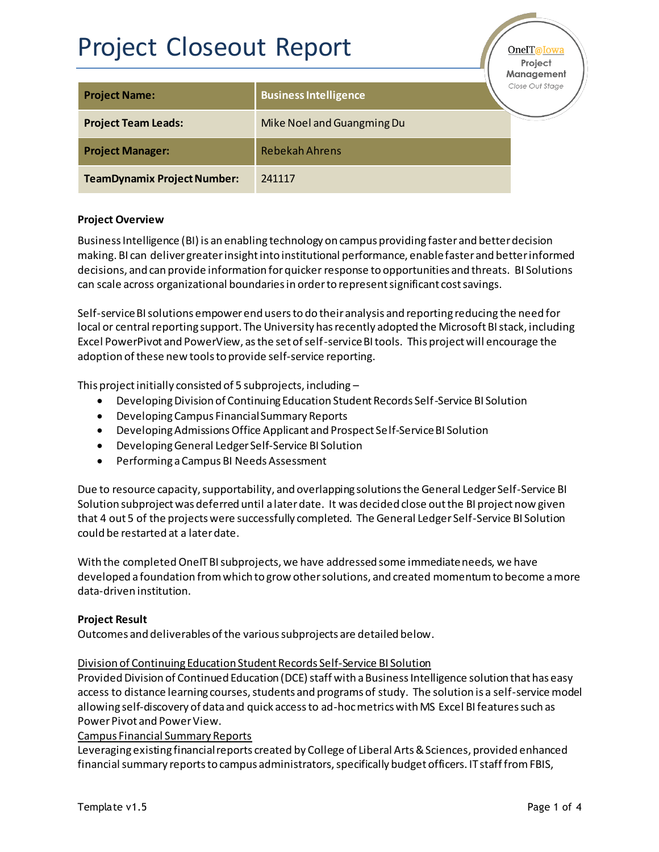# Project Closeout Report

OneIT@Iow Project

| <b>Project Name:</b>               | <b>Business Intelligence</b> | Management<br>Close Out Stage |
|------------------------------------|------------------------------|-------------------------------|
| <b>Project Team Leads:</b>         | Mike Noel and Guangming Du   |                               |
| <b>Project Manager:</b>            | <b>Rebekah Ahrens</b>        |                               |
| <b>TeamDynamix Project Number:</b> | 241117                       |                               |

## **Project Overview**

Business Intelligence (BI) is an enabling technology on campus providing faster and better decision making. BI can deliver greater insight into institutional performance, enable faster and better informed decisions, and can provide information for quicker response to opportunities and threats. BI Solutions can scale across organizational boundaries in order to represent significant cost savings.

Self-service BI solutions empower end users to do their analysis and reporting reducing the need for local or central reporting support. The University has recently adopted the Microsoft BI stack, including Excel PowerPivot and PowerView, as the set of self-service BI tools. This project will encourage the adoption of these new tools to provide self-service reporting.

This project initially consisted of 5 subprojects, including –

- Developing Division of Continuing Education Student Records Self-Service BI Solution
- Developing Campus Financial Summary Reports
- Developing Admissions Office Applicant and Prospect Self-Service BI Solution
- **•** Developing General Ledger Self-Service BI Solution
- **•** Performing a Campus BI Needs Assessment

Due to resource capacity, supportability, and overlapping solutions the General Ledger Self-Service BI Solution subproject was deferred until a later date. It was decided close out the BI project now given that 4 out 5 of the projects were successfully completed. The General Ledger Self-Service BI Solution could be restarted at a later date.

With the completed OneIT BI subprojects, we have addressed some immediate needs, we have developed a foundation from which to grow other solutions, and created momentum to become a more data-driven institution.

### **Project Result**

Outcomes and deliverables of the various subprojects are detailed below.

#### Division of Continuing Education Student Records Self-Service BI Solution

Provided Division of Continued Education (DCE) staff with a Business Intelligence solution that has easy access to distance learning courses, students and programs of study. The solution is a self-service model allowing self-discovery of data and quick access to ad-hoc metrics with MS Excel BI features such as Power Pivot and Power View.

#### Campus Financial Summary Reports

Leveraging existing financial reports created by College of Liberal Arts & Sciences, provided enhanced financial summary reports to campus administrators, specifically budget officers. IT staff from FBIS,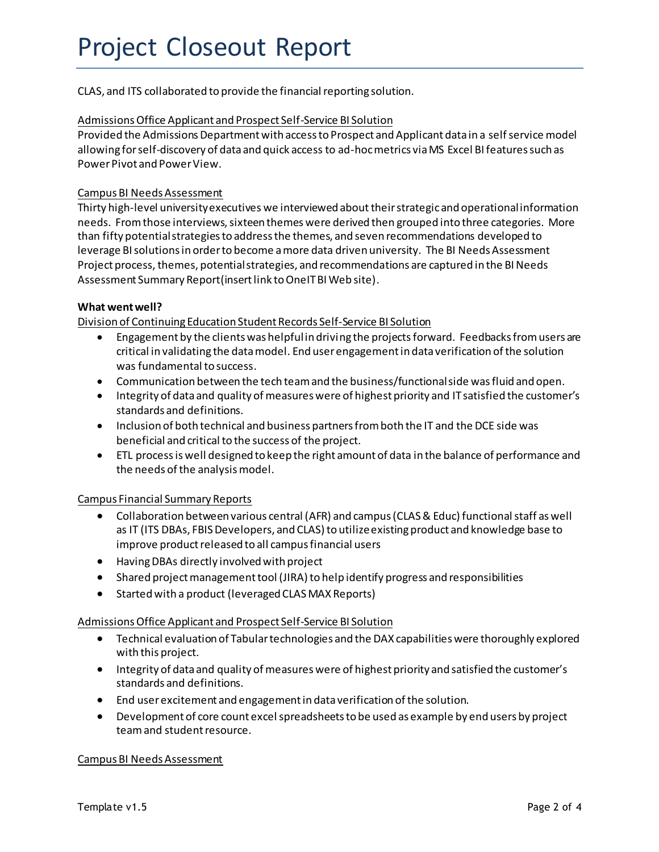CLAS, and ITS collaborated to provide the financial reporting solution.

#### Admissions Office Applicant and Prospect Self-Service BI Solution

Provided the Admissions Department with access to Prospect and Applicant data in a self service model allowing for self-discovery of data and quick access to ad-hoc metrics via MS Excel BI features such as Power Pivot and Power View.

### Campus BI Needs Assessment

Thirty high-level university executives we interviewed abouttheir strategic and operational information needs. From those interviews, sixteen themes were derived then grouped into three categories. More than fifty potential strategies to address the themes, and seven recommendations developed to leverage BI solutions in order to become a more data driven university. The BI Needs Assessment Project process, themes, potential strategies, and recommendations are captured in the BI Needs Assessment Summary Report(insert link to OneIT BI Web site).

#### **What went well?**

Division of Continuing Education Student Records Self-Service BI Solution

- Engagement by the clients was helpful in driving the projects forward. Feedbacks from users are critical in validating the data model. End user engagement in data verification of the solution was fundamental to success.
- Communication between the tech team and the business/functional side was fluid and open.
- Integrity of data and quality of measures were of highest priority and IT satisfied the customer's standards and definitions.
- Inclusion of both technical and business partners from both the IT and the DCE side was beneficial and critical to the success of the project.
- ETL process is well designed to keep the right amount of data in the balance of performance and the needs of the analysis model.

#### Campus Financial Summary Reports

- Collaboration between various central (AFR) and campus (CLAS & Educ) functional staff as well as IT (ITS DBAs, FBIS Developers, and CLAS) to utilize existing product and knowledge base to improve product released to all campus financial users
- Having DBAs directly involved with project
- **•** Shared project management tool (JIRA) to help identify progress and responsibilities
- Started with a product (leveraged CLAS MAX Reports)

#### Admissions Office Applicant and Prospect Self-Service BI Solution

- **•** Technical evaluation of Tabular technologies and the DAX capabilities were thoroughly explored with this project.
- Integrity of data and quality of measures were of highest priority and satisfied the customer's standards and definitions.
- End user excitement and engagement in data verification of the solution.
- Development of core count excel spreadsheets to be used as example by end users by project team and student resource.

#### Campus BI Needs Assessment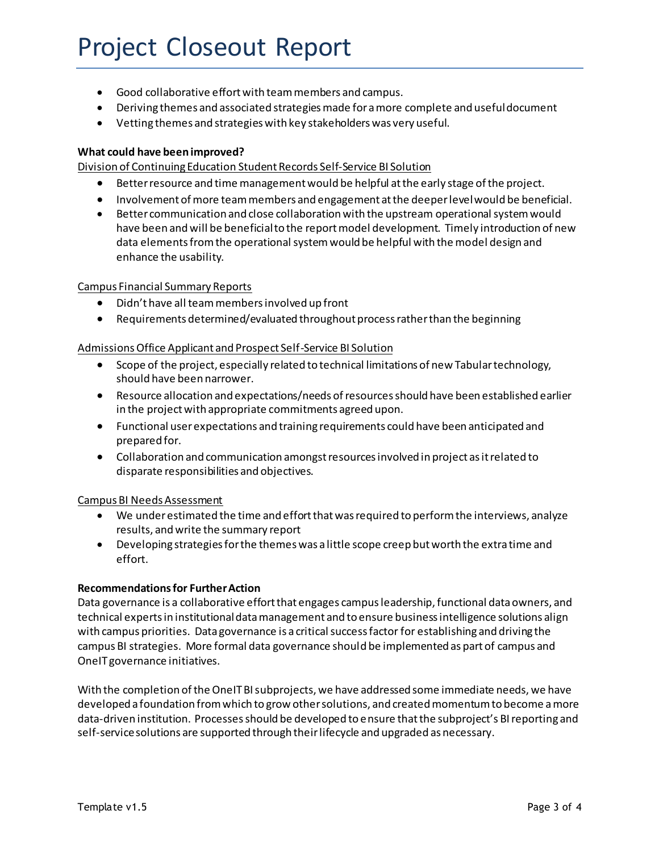## Project Closeout Report

- Good collaborative effort with team members and campus.
- Deriving themes and associated strategies made for a more complete and useful document
- Vetting themes and strategies with key stakeholders was very useful.

#### **What could have been improved?**

Division of Continuing Education Student Records Self-Service BI Solution

- **•** Better resource and time management would be helpful at the early stage of the project.
- **•** Involvement of more team members and engagement at the deeper level would be beneficial.
- Better communication and close collaboration with the upstream operational system would have been and will be beneficial to the reportmodel development. Timely introduction of new data elements from the operational system would be helpful with the model design and enhance the usability.

#### Campus Financial Summary Reports

- $\bullet$  Didn't have all team members involved up front
- Requirements determined/evaluated throughout process rather than the beginning

#### Admissions Office Applicant and Prospect Self-Service BI Solution

- Scope of the project, especially related to technical limitations of new Tabular technology, should have been narrower.
- **•** Resource allocation and expectations/needs of resources should have been established earlier in the project with appropriate commitments agreed upon.
- Functional user expectations and training requirements could have been anticipated and prepared for.
- Collaboration and communication amongst resources involved in project as it related to disparate responsibilities and objectives.

#### Campus BI Needs Assessment

- We under estimated the time and effort that was required to perform the interviews, analyze results, and write the summary report
- Developing strategies for the themes was a little scope creep but worth the extra time and effort.

#### **Recommendations for Further Action**

Data governance is a collaborative effort that engages campus leadership, functional data owners, and technical experts in institutional data management and to ensure business intelligence solutions align with campus priorities. Data governance is a critical success factor for establishing and driving the campus BI strategies. More formal data governance should be implemented as part of campus and OneIT governance initiatives.

With the completion of the OneIT BI subprojects, we have addressed some immediate needs, we have developed a foundation from which to grow other solutions, and created momentum to become a more data-driven institution. Processes should be developed to ensure thatthe subproject's BI reporting and self-service solutions are supported through their lifecycle and upgraded as necessary.